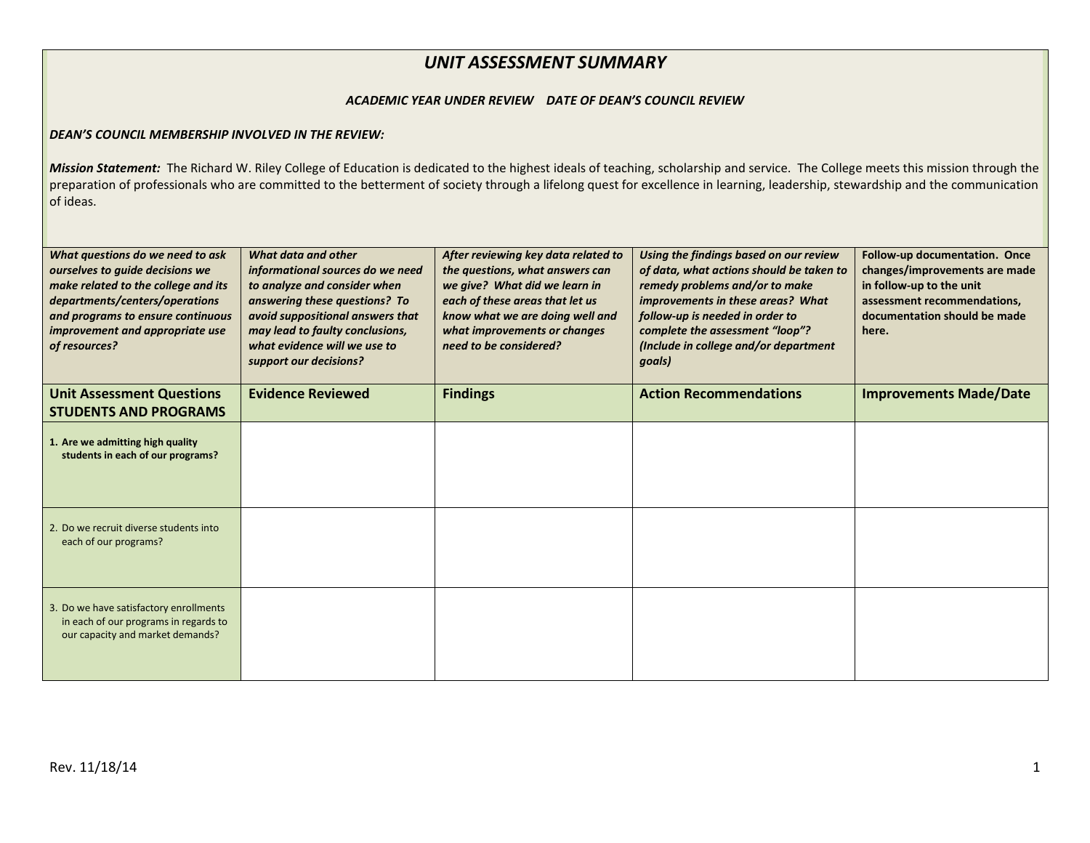## *UNIT ASSESSMENT SUMMARY*

## *ACADEMIC YEAR UNDER REVIEW DATE OF DEAN'S COUNCIL REVIEW*

## *DEAN'S COUNCIL MEMBERSHIP INVOLVED IN THE REVIEW:*

Mission Statement: The Richard W. Riley College of Education is dedicated to the highest ideals of teaching, scholarship and service. The College meets this mission through the preparation of professionals who are committed to the betterment of society through a lifelong quest for excellence in learning, leadership, stewardship and the communication of ideas.

| What questions do we need to ask<br>ourselves to guide decisions we<br>make related to the college and its<br>departments/centers/operations<br>and programs to ensure continuous<br>improvement and appropriate use<br>of resources? | What data and other<br>informational sources do we need<br>to analyze and consider when<br>answering these questions? To<br>avoid suppositional answers that<br>may lead to faulty conclusions,<br>what evidence will we use to<br>support our decisions? | After reviewing key data related to<br>the questions, what answers can<br>we give? What did we learn in<br>each of these areas that let us<br>know what we are doing well and<br>what improvements or changes<br>need to be considered? | Using the findings based on our review<br>of data, what actions should be taken to<br>remedy problems and/or to make<br>improvements in these areas? What<br>follow-up is needed in order to<br>complete the assessment "loop"?<br>(Include in college and/or department<br>goals) | Follow-up documentation. Once<br>changes/improvements are made<br>in follow-up to the unit<br>assessment recommendations,<br>documentation should be made<br>here. |
|---------------------------------------------------------------------------------------------------------------------------------------------------------------------------------------------------------------------------------------|-----------------------------------------------------------------------------------------------------------------------------------------------------------------------------------------------------------------------------------------------------------|-----------------------------------------------------------------------------------------------------------------------------------------------------------------------------------------------------------------------------------------|------------------------------------------------------------------------------------------------------------------------------------------------------------------------------------------------------------------------------------------------------------------------------------|--------------------------------------------------------------------------------------------------------------------------------------------------------------------|
| <b>Unit Assessment Questions</b><br><b>STUDENTS AND PROGRAMS</b>                                                                                                                                                                      | <b>Evidence Reviewed</b>                                                                                                                                                                                                                                  | <b>Findings</b>                                                                                                                                                                                                                         | <b>Action Recommendations</b>                                                                                                                                                                                                                                                      | <b>Improvements Made/Date</b>                                                                                                                                      |
| 1. Are we admitting high quality<br>students in each of our programs?                                                                                                                                                                 |                                                                                                                                                                                                                                                           |                                                                                                                                                                                                                                         |                                                                                                                                                                                                                                                                                    |                                                                                                                                                                    |
| 2. Do we recruit diverse students into<br>each of our programs?                                                                                                                                                                       |                                                                                                                                                                                                                                                           |                                                                                                                                                                                                                                         |                                                                                                                                                                                                                                                                                    |                                                                                                                                                                    |
| 3. Do we have satisfactory enrollments<br>in each of our programs in regards to<br>our capacity and market demands?                                                                                                                   |                                                                                                                                                                                                                                                           |                                                                                                                                                                                                                                         |                                                                                                                                                                                                                                                                                    |                                                                                                                                                                    |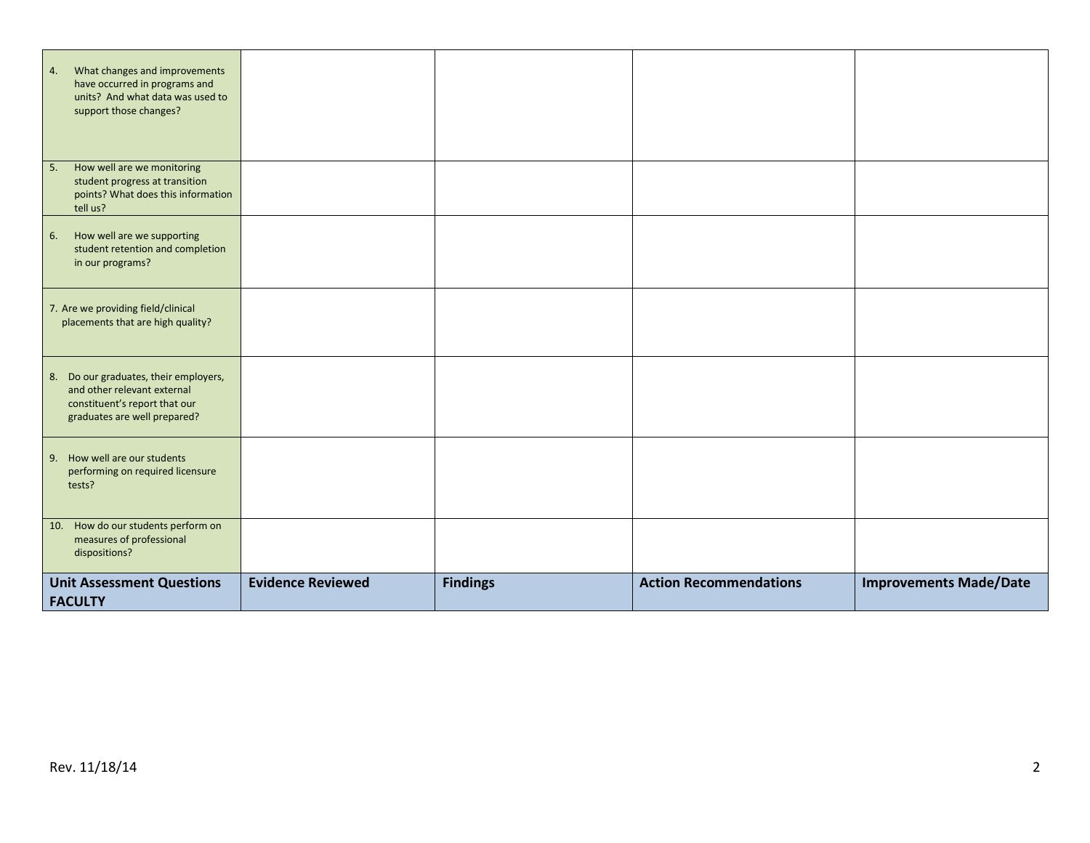| What changes and improvements<br>4.<br>have occurred in programs and<br>units? And what data was used to<br>support those changes?    |                          |                 |                               |                               |
|---------------------------------------------------------------------------------------------------------------------------------------|--------------------------|-----------------|-------------------------------|-------------------------------|
| How well are we monitoring<br>5.<br>student progress at transition<br>points? What does this information<br>tell us?                  |                          |                 |                               |                               |
| How well are we supporting<br>6.<br>student retention and completion<br>in our programs?                                              |                          |                 |                               |                               |
| 7. Are we providing field/clinical<br>placements that are high quality?                                                               |                          |                 |                               |                               |
| 8. Do our graduates, their employers,<br>and other relevant external<br>constituent's report that our<br>graduates are well prepared? |                          |                 |                               |                               |
| 9. How well are our students<br>performing on required licensure<br>tests?                                                            |                          |                 |                               |                               |
| 10. How do our students perform on<br>measures of professional<br>dispositions?                                                       |                          |                 |                               |                               |
| <b>Unit Assessment Questions</b><br><b>FACULTY</b>                                                                                    | <b>Evidence Reviewed</b> | <b>Findings</b> | <b>Action Recommendations</b> | <b>Improvements Made/Date</b> |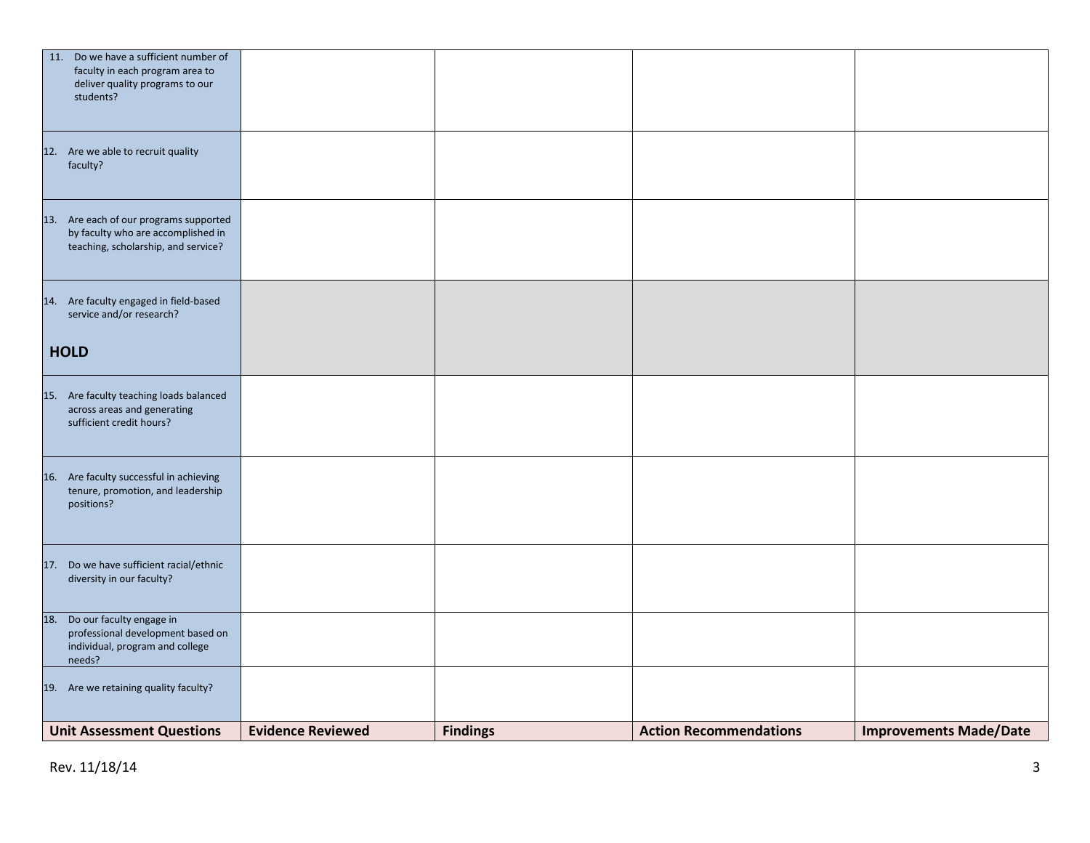| 11. Do we have a sufficient number of<br>faculty in each program area to<br>deliver quality programs to our<br>students? |                          |                 |                               |                               |
|--------------------------------------------------------------------------------------------------------------------------|--------------------------|-----------------|-------------------------------|-------------------------------|
| 12. Are we able to recruit quality<br>faculty?                                                                           |                          |                 |                               |                               |
| 13. Are each of our programs supported<br>by faculty who are accomplished in<br>teaching, scholarship, and service?      |                          |                 |                               |                               |
| 14. Are faculty engaged in field-based<br>service and/or research?                                                       |                          |                 |                               |                               |
| <b>HOLD</b>                                                                                                              |                          |                 |                               |                               |
| 15. Are faculty teaching loads balanced<br>across areas and generating<br>sufficient credit hours?                       |                          |                 |                               |                               |
| 16. Are faculty successful in achieving<br>tenure, promotion, and leadership<br>positions?                               |                          |                 |                               |                               |
| 17. Do we have sufficient racial/ethnic<br>diversity in our faculty?                                                     |                          |                 |                               |                               |
| 18. Do our faculty engage in<br>professional development based on<br>individual, program and college<br>needs?           |                          |                 |                               |                               |
| 19. Are we retaining quality faculty?                                                                                    |                          |                 |                               |                               |
| <b>Unit Assessment Questions</b>                                                                                         | <b>Evidence Reviewed</b> | <b>Findings</b> | <b>Action Recommendations</b> | <b>Improvements Made/Date</b> |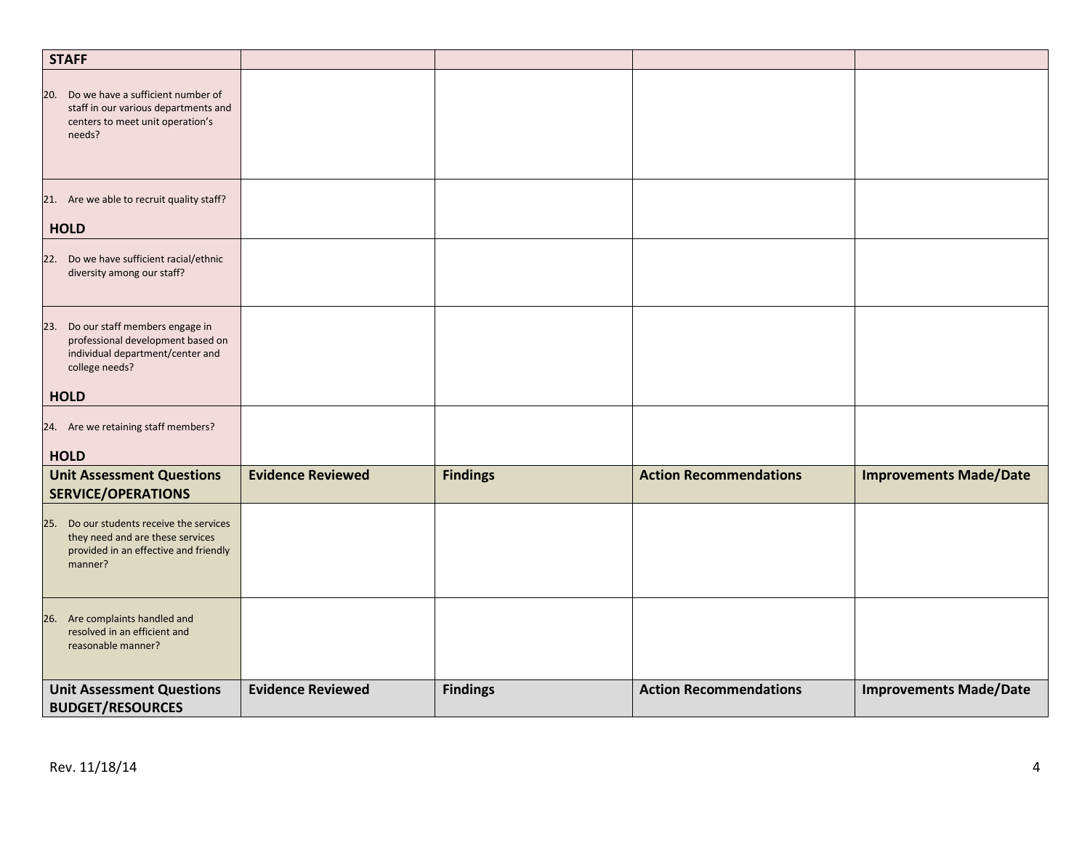| <b>STAFF</b>                                                                                                                     |                          |                 |                               |                               |
|----------------------------------------------------------------------------------------------------------------------------------|--------------------------|-----------------|-------------------------------|-------------------------------|
| 20. Do we have a sufficient number of<br>staff in our various departments and<br>centers to meet unit operation's<br>needs?      |                          |                 |                               |                               |
| 21. Are we able to recruit quality staff?<br><b>HOLD</b>                                                                         |                          |                 |                               |                               |
| 22. Do we have sufficient racial/ethnic<br>diversity among our staff?                                                            |                          |                 |                               |                               |
| 23. Do our staff members engage in<br>professional development based on<br>individual department/center and<br>college needs?    |                          |                 |                               |                               |
| <b>HOLD</b>                                                                                                                      |                          |                 |                               |                               |
| 24. Are we retaining staff members?<br><b>HOLD</b>                                                                               |                          |                 |                               |                               |
| <b>Unit Assessment Questions</b>                                                                                                 | <b>Evidence Reviewed</b> | <b>Findings</b> | <b>Action Recommendations</b> | <b>Improvements Made/Date</b> |
| <b>SERVICE/OPERATIONS</b>                                                                                                        |                          |                 |                               |                               |
| 25. Do our students receive the services<br>they need and are these services<br>provided in an effective and friendly<br>manner? |                          |                 |                               |                               |
| 26. Are complaints handled and<br>resolved in an efficient and<br>reasonable manner?                                             |                          |                 |                               |                               |
| <b>Unit Assessment Questions</b><br><b>BUDGET/RESOURCES</b>                                                                      | <b>Evidence Reviewed</b> | <b>Findings</b> | <b>Action Recommendations</b> | <b>Improvements Made/Date</b> |